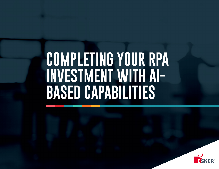## **COMPLETING YOUR RPA INVESTMENT WITH AI-BASED CAPABILITIES**

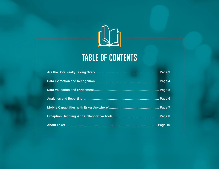

### **TABLE OF CONTENTS**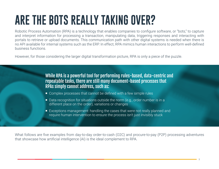## **ARE THE BOTS REALLY TAKING OVER?**

Robotic Process Automation (RPA) is a technology that enables companies to configure software, or "bots," to capture and interpret information for processing a transaction, manipulating data, triggering responses and interacting with portals to retrieve or upload documents. This communication path with other digital systems is needed when there is no API available for internal systems such as the ERP. In effect, RPA mimics human interactions to perform well-defined business functions.

However, for those considering the larger digital transformation picture, RPA is only a piece of the puzzle.

While RPA is a powerful tool for performing rules-based, data-centric and repeatable tasks, there are still many document-based processes that RPAs simply cannot address, such as:

- Complex processes that cannot be defined with a few simple rules
- Data recognition for situations outside the norm (e.g., order number is in a different place on the order), variations or changes
- Exceptions management: handling the cases that were not really planned and require human intervention to ensure the process isn't just invisibly stuck

What follows are five examples from day-to-day order-to-cash (O2C) and procure-to-pay (P2P) processing adventures that showcase how artificial intelligence (AI) is the ideal complement to RPA.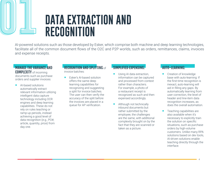## **0101 DATA EXTRACTION AND RECOGNITION**

AI-powered solutions such as those developed by Esker, which comprise both machine and deep learning technologies, facilitate all of the common document flows of the O2C and P2P worlds, such as orders, remittances, claims, invoices and expense receipts.

#### MANAGE THE VARIANCE AND COMPLEXITY of incoming

documents such as purchase orders and supplier invoices:

**AI-based solutions** automatically extract relevant information utilizing intelligent data capture technology including OCR engines and deep learning capabilities. These do not rely on rules teaching or ramp-up periods, instead achieving a good level of data recognition (e.g., PO#, article, quantity, price) from day one.

#### **RECOGNITION AND SPLITTING of**

invoice batches:

**E** Esker's AI-based solution offers the same deep learning capabilities for recognizing and suggesting a split for invoice batches. The user can then verify the accuracy of the split before the invoices are placed in a queue for AP verification.

#### SIMPLIFIED EXPENSING:

- **Using AI data extraction.** information can be captured and processed from context rather than characters. For example, a photo of a restaurant receipt is recognized as such and then expensed accordingly.
- Although not technically inbound documents but rather submitted by the employee, the challenges are the same, with additional complexity brought on by the fact that they are scanned or taken as a picture.

#### AUTO-LEARNING:

- Creation of knowledge base with auto-learning: If the first-time recognition is inexact, auto-learning will aid in filling any gaps. By automatically learning from user correction, the level of header and line-item data recognition increases, as does the overall automation.
- Teaching capabilities are also available when it's necessary to explicitly train the solution on specific situations, such as purchase orders by high-volume customers. Unlike many RPA solutions based on dev tools, AI-driven solutions enable teaching directly through the interface.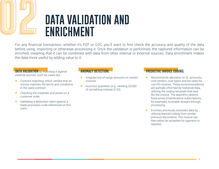## **DATA VALIDATION AND ENRICHMENT**

For any financial transaction, whether it's P2P or O2C, you'll want to first check the accuracy and quality of the data before using, importing or otherwise processing it. Once the validation is performed, the captured information can be enriched, meaning that it can be combined with data from other internal or external sources. Data enrichment makes the data more useful by adding value to it.

#### **DATA VALIDATION** by matching it against external sources, such as cases like:

- Contract matching, which verifies that an invoice matches the terms and conditions in the sales contract
- Checking the materials and prices on a customer order
- validating a deduction claim against a trade promotion code referenced on this claim

#### ANOMALY DETECTION:

- **Integular/out-of-range amounts on vendor** invoices
- Incorrect quantities (e.g., sending 20,000 of something instead of 20)

#### PREDICTIVE INVOICE CODING:

- Recommends allocation to GL accounts, cost centers, cost types and tax rates for non-PO invoices. These recommendations are partially informed by historical data, utilizing the coding template that best fits the invoice. The algorithm detects fixed prices (maintenance subscriptions, for example), to enable straight-through processing.
- **Enriches previously extracted data by** utilizing learned coding from similar previous documents. The invoice can then either be accepted for payment or rejected.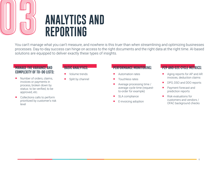## **0303 ANALYTICS AND REPORTING**

You can't manage what you can't measure, and nowhere is this truer than when streamlining and optimizing businesses processes. Day-to-day success can hinge on access to the right documents and the right data at the right time. AI-based solutions are equipped to deliver exactly these types of insights.

#### MANAGE THE VARIANCE AND COMPLEXITY OF TO-DO LISTS:

- Number of orders, claims, invoices or payments in process, broken down by status: to be verified, to be approved, etc.
- Collections calls to perform prioritized by customer's risk level

#### BASIC ANALYTICS:

- **Volume trends**
- Split by channel

#### PERFORMANCE MONITORING:

- **Automation rates**
- Touchless rates
- Average processing time / average cycle time (requestto-order for example)
- SLA compliance
- E-invoicing adoption

#### P2P AND O2C CYCLE METRICS:

- Aging reports for AP and AR invoices, deduction claims
- DPO, DSO and DDO reports
- **Payment forecast and** prediction reports
- Risk evaluations for customers and vendors / OFAC background checks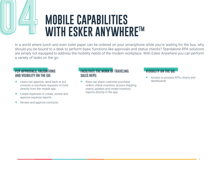# **0004 MOBILE CAPABILITIES**<br>
WITH ESKER ANYWHERE<sup>TM</sup>

In a world where lunch and even toilet paper can be ordered on your smartphone while you're waiting for the bus, why should you be bound to a desk to perform basic functions like approvals and status checks? Standalone RPA solutions are simply not equipped to address the mobility needs of the modern workplace. With Esker Anywhere you can perform a variety of tasks on the go:

#### **P2P APPROVALS, VALIDATIONS** AND VISIBILITY ON THE GO:

- Users can approve, send back or put invoices or purchase requests on hold directly from the mobile app
- **Create expenses or create, review and** approve expense reports
- Review and approve contracts

#### FACILITATE THE WORK OF TRAVELING SALES REPS:

 Reps can place customer purchase orders, check inventory, access shipping status updates and create inventory reports directly in the app

#### VISIBILITY ON THE GO:

 Access to process KPIs, charts and dashboards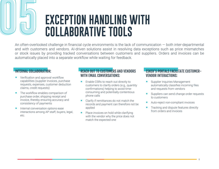**EXCEPTION HANDLING WITH COLLABORATIVE TOOLS**

An often-overlooked challenge in financial cycle environments is the lack of communication — both inter-departmental and with customers and vendors. AI-driven solutions assist in resolving data exceptions such as price mismatches or stock issues by providing tracked conversations between customers and suppliers. Orders and invoices can be automatically placed into a separate workflow while waiting for feedback.

#### INTERNAL COLLABORATION:

- **U** Verification and approval workflow capabilities (supplier invoices, purchase requests, expenses, customer deduction claims, credit requests)
- The workflow enables comparison of purchase order, shipping receipt and invoice, thereby ensuring accuracy and consistency of payments
- Internal conversation options ease interactions among AP staff, buyers, legal, etc.

#### REACH OUT TO CUSTOMERS AND VENDORS WITH EMAIL CONVERSATIONS:

- Enable CSRs to reach out directly to customers to clarify orders (e.g., quantity confirmations) helping to avoid timeconsuming and potentially contentious phone calls
- Clarify if remittances do not match the records and payment can therefore not be applied
- Place invoices on hold while clarifying with the vendor why the price does not match the expected one

#### ESKER'S PORTALS FACILITATE CUSTOMER-VENDOR INTERACTIONS:

- **Supplier Inquiries Management** automatically classifies incoming files and requests from vendors
- Suppliers can send change order requests to customers
- Auto-reject non-compliant invoices
- **Tracking and dispute features directly** from orders and invoices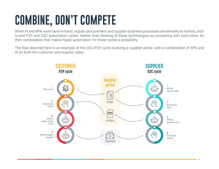## **COMBINE, DON'T COMPETE**

When AI and RPA work hand-in-hand, regular procurement and supplier business processes are elevated to holistic, endto-end P2P and O2C automation cycles. Rather than thinking of these technologies as competing with each other, it's their combination that makes hyper-automation for these cycles a possibility.

The flow depicted here is an example of the O2C/P2P cycle involving a supplier portal, with a combination of RPA and AI on both the customer and supplier sides:

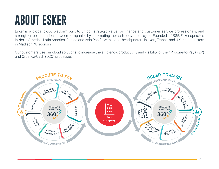## **ABOUT ESKER**

Esker is a global cloud platform built to unlock strategic value for finance and customer service professionals, and strengthen collaboration between companies by automating the cash conversion cycle. Founded in 1985, Esker operates in North America, Latin America, Europe and Asia Pacific with global headquarters in Lyon, France, and U.S. headquarters in Madison, Wisconsin.

Our customers use our cloud solutions to increase the efficiency, productivity and visibility of their Procure-to-Pay (P2P) and Order-to-Cash (O2C) processes.